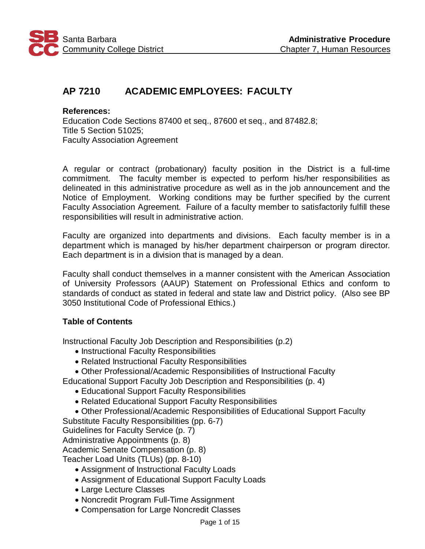

# **AP 7210 ACADEMIC EMPLOYEES: FACULTY**

**References:** Education Code Sections 87400 et seq., 87600 et seq., and 87482.8; Title 5 Section 51025; Faculty Association Agreement

A regular or contract (probationary) faculty position in the District is a full-time commitment. The faculty member is expected to perform his/her responsibilities as delineated in this administrative procedure as well as in the job announcement and the Notice of Employment. Working conditions may be further specified by the current Faculty Association Agreement. Failure of a faculty member to satisfactorily fulfill these responsibilities will result in administrative action.

Faculty are organized into departments and divisions. Each faculty member is in a department which is managed by his/her department chairperson or program director. Each department is in a division that is managed by a dean.

Faculty shall conduct themselves in a manner consistent with the American Association of University Professors (AAUP) Statement on Professional Ethics and conform to standards of conduct as stated in federal and state law and District policy. (Also see BP 3050 Institutional Code of Professional Ethics.)

# **Table of Contents**

Instructional Faculty Job Description and Responsibilities (p.2)

- Instructional Faculty Responsibilities
- Related Instructional Faculty Responsibilities
- Other Professional/Academic Responsibilities of Instructional Faculty
- Educational Support Faculty Job Description and Responsibilities (p. 4)
	- Educational Support Faculty Responsibilities
	- Related Educational Support Faculty Responsibilities
	- Other Professional/Academic Responsibilities of Educational Support Faculty
- Substitute Faculty Responsibilities (pp. 6-7)
- Guidelines for Faculty Service (p. 7)

Administrative Appointments (p. 8)

Academic Senate Compensation (p. 8)

Teacher Load Units (TLUs) (pp. 8-10)

- Assignment of Instructional Faculty Loads
- Assignment of Educational Support Faculty Loads
- Large Lecture Classes
- Noncredit Program Full-Time Assignment
- Compensation for Large Noncredit Classes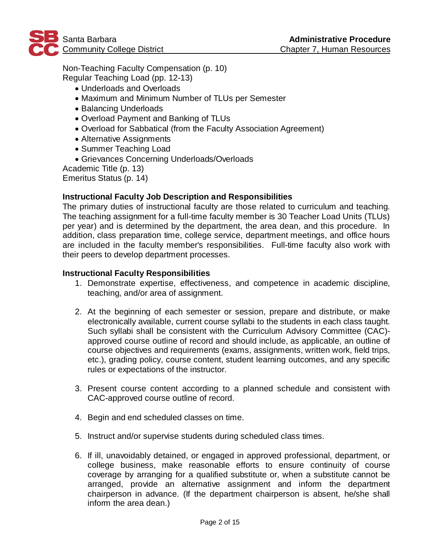

Non-Teaching Faculty Compensation (p. 10) Regular Teaching Load (pp. 12-13)

- Underloads and Overloads
- Maximum and Minimum Number of TLUs per Semester
- Balancing Underloads
- Overload Payment and Banking of TLUs
- Overload for Sabbatical (from the Faculty Association Agreement)
- Alternative Assignments
- Summer Teaching Load
- Grievances Concerning Underloads/Overloads

Academic Title (p. 13)

Emeritus Status (p. 14)

# **Instructional Faculty Job Description and Responsibilities**

The primary duties of instructional faculty are those related to curriculum and teaching. The teaching assignment for a full-time faculty member is 30 Teacher Load Units (TLUs) per year) and is determined by the department, the area dean, and this procedure. In addition, class preparation time, college service, department meetings, and office hours are included in the faculty member's responsibilities. Full-time faculty also work with their peers to develop department processes.

### **Instructional Faculty Responsibilities**

- 1. Demonstrate expertise, effectiveness, and competence in academic discipline, teaching, and/or area of assignment.
- 2. At the beginning of each semester or session, prepare and distribute, or make electronically available, current course syllabi to the students in each class taught. Such syllabi shall be consistent with the Curriculum Advisory Committee (CAC) approved course outline of record and should include, as applicable, an outline of course objectives and requirements (exams, assignments, written work, field trips, etc.), grading policy, course content, student learning outcomes, and any specific rules or expectations of the instructor.
- 3. Present course content according to a planned schedule and consistent with CAC-approved course outline of record.
- 4. Begin and end scheduled classes on time.
- 5. Instruct and/or supervise students during scheduled class times.
- 6. If ill, unavoidably detained, or engaged in approved professional, department, or college business, make reasonable efforts to ensure continuity of course coverage by arranging for a qualified substitute or, when a substitute cannot be arranged, provide an alternative assignment and inform the department chairperson in advance. (If the department chairperson is absent, he/she shall inform the area dean.)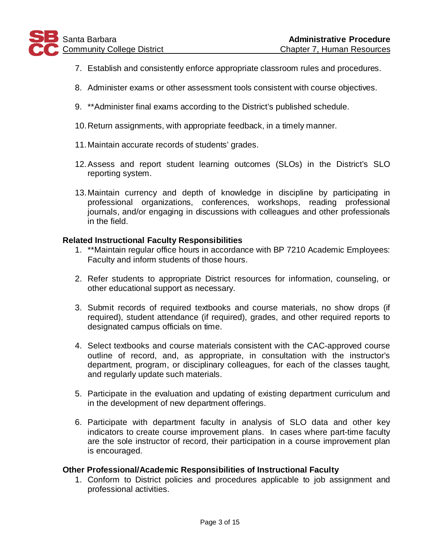- 7. Establish and consistently enforce appropriate classroom rules and procedures.
- 8. Administer exams or other assessment tools consistent with course objectives.
- 9. \*\*Administer final exams according to the District's published schedule.
- 10.Return assignments, with appropriate feedback, in a timely manner.
- 11.Maintain accurate records of students' grades.
- 12.Assess and report student learning outcomes (SLOs) in the District's SLO reporting system.
- 13.Maintain currency and depth of knowledge in discipline by participating in professional organizations, conferences, workshops, reading professional journals, and/or engaging in discussions with colleagues and other professionals in the field.

#### **Related Instructional Faculty Responsibilities**

- 1. \*\*Maintain regular office hours in accordance with BP 7210 Academic Employees: Faculty and inform students of those hours.
- 2. Refer students to appropriate District resources for information, counseling, or other educational support as necessary.
- 3. Submit records of required textbooks and course materials, no show drops (if required), student attendance (if required), grades, and other required reports to designated campus officials on time.
- 4. Select textbooks and course materials consistent with the CAC-approved course outline of record, and, as appropriate, in consultation with the instructor's department, program, or disciplinary colleagues, for each of the classes taught, and regularly update such materials.
- 5. Participate in the evaluation and updating of existing department curriculum and in the development of new department offerings.
- 6. Participate with department faculty in analysis of SLO data and other key indicators to create course improvement plans. In cases where part-time faculty are the sole instructor of record, their participation in a course improvement plan is encouraged.

### **Other Professional/Academic Responsibilities of Instructional Faculty**

1. Conform to District policies and procedures applicable to job assignment and professional activities.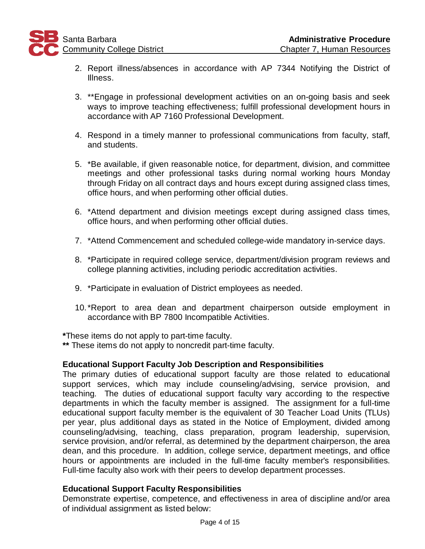- 2. Report illness/absences in accordance with AP 7344 Notifying the District of Illness.
- 3. \*\*Engage in professional development activities on an on-going basis and seek ways to improve teaching effectiveness; fulfill professional development hours in accordance with AP 7160 Professional Development.
- 4. Respond in a timely manner to professional communications from faculty, staff, and students.
- 5. \*Be available, if given reasonable notice, for department, division, and committee meetings and other professional tasks during normal working hours Monday through Friday on all contract days and hours except during assigned class times, office hours, and when performing other official duties.
- 6. \*Attend department and division meetings except during assigned class times, office hours, and when performing other official duties.
- 7. \*Attend Commencement and scheduled college-wide mandatory in-service days.
- 8. \*Participate in required college service, department/division program reviews and college planning activities, including periodic accreditation activities.
- 9. \*Participate in evaluation of District employees as needed.
- 10.\*Report to area dean and department chairperson outside employment in accordance with BP 7800 Incompatible Activities.

**\***These items do not apply to part-time faculty.

**\*\*** These items do not apply to noncredit part-time faculty.

# **Educational Support Faculty Job Description and Responsibilities**

The primary duties of educational support faculty are those related to educational support services, which may include counseling/advising, service provision, and teaching. The duties of educational support faculty vary according to the respective departments in which the faculty member is assigned. The assignment for a full-time educational support faculty member is the equivalent of 30 Teacher Load Units (TLUs) per year, plus additional days as stated in the Notice of Employment, divided among counseling/advising, teaching, class preparation, program leadership, supervision, service provision, and/or referral, as determined by the department chairperson, the area dean, and this procedure. In addition, college service, department meetings, and office hours or appointments are included in the full-time faculty member's responsibilities. Full-time faculty also work with their peers to develop department processes.

# **Educational Support Faculty Responsibilities**

Demonstrate expertise, competence, and effectiveness in area of discipline and/or area of individual assignment as listed below: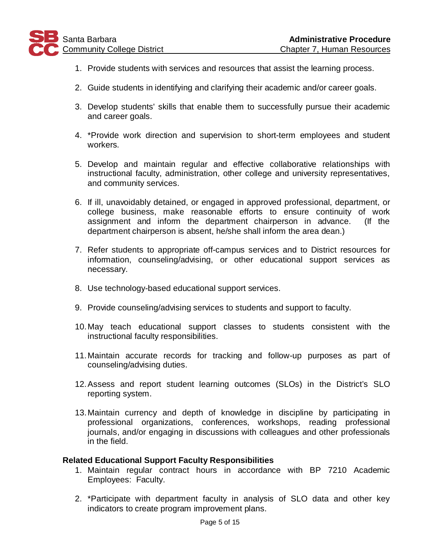- 1. Provide students with services and resources that assist the learning process.
- 2. Guide students in identifying and clarifying their academic and/or career goals.
- 3. Develop students' skills that enable them to successfully pursue their academic and career goals.
- 4. \*Provide work direction and supervision to short-term employees and student workers.
- 5. Develop and maintain regular and effective collaborative relationships with instructional faculty, administration, other college and university representatives, and community services.
- 6. If ill, unavoidably detained, or engaged in approved professional, department, or college business, make reasonable efforts to ensure continuity of work assignment and inform the department chairperson in advance. (If the department chairperson is absent, he/she shall inform the area dean.)
- 7. Refer students to appropriate off-campus services and to District resources for information, counseling/advising, or other educational support services as necessary.
- 8. Use technology-based educational support services.
- 9. Provide counseling/advising services to students and support to faculty.
- 10.May teach educational support classes to students consistent with the instructional faculty responsibilities.
- 11.Maintain accurate records for tracking and follow-up purposes as part of counseling/advising duties.
- 12.Assess and report student learning outcomes (SLOs) in the District's SLO reporting system.
- 13.Maintain currency and depth of knowledge in discipline by participating in professional organizations, conferences, workshops, reading professional journals, and/or engaging in discussions with colleagues and other professionals in the field.

### **Related Educational Support Faculty Responsibilities**

- 1. Maintain regular contract hours in accordance with BP 7210 Academic Employees: Faculty.
- 2. \*Participate with department faculty in analysis of SLO data and other key indicators to create program improvement plans.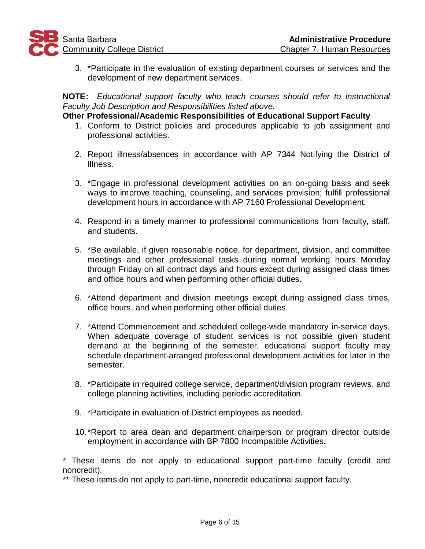

3. \*Participate in the evaluation of existing department courses or services and the development of new department services.

**NOTE:** *Educational support faculty who teach courses should refer to Instructional Faculty Job Description and Responsibilities listed above.*

### **Other Professional/Academic Responsibilities of Educational Support Faculty**

- 1. Conform to District policies and procedures applicable to job assignment and professional activities.
- 2. Report illness/absences in accordance with AP 7344 Notifying the District of Illness.
- 3. \*Engage in professional development activities on an on-going basis and seek ways to improve teaching, counseling, and services provision; fulfill professional development hours in accordance with AP 7160 Professional Development.
- 4. Respond in a timely manner to professional communications from faculty, staff, and students.
- 5. \*Be available, if given reasonable notice, for department, division, and committee meetings and other professional tasks during normal working hours Monday through Friday on all contract days and hours except during assigned class times and office hours and when performing other official duties.
- 6. \*Attend department and division meetings except during assigned class times, office hours, and when performing other official duties.
- 7. \*Attend Commencement and scheduled college-wide mandatory in-service days. When adequate coverage of student services is not possible given student demand at the beginning of the semester, educational support faculty may schedule department-arranged professional development activities for later in the semester.
- 8. \*Participate in required college service, department/division program reviews, and college planning activities, including periodic accreditation.
- 9. \*Participate in evaluation of District employees as needed.
- 10.\*Report to area dean and department chairperson or program director outside employment in accordance with BP 7800 Incompatible Activities.

\* These items do not apply to educational support part-time faculty (credit and noncredit).

\*\* These items do not apply to part-time, noncredit educational support faculty.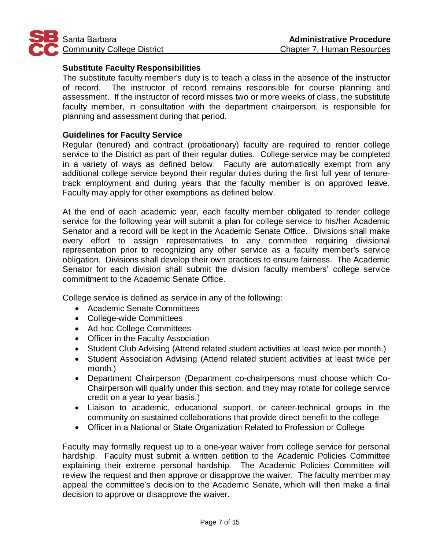

### **Substitute Faculty Responsibilities**

The substitute faculty member's duty is to teach a class in the absence of the instructor of record. The instructor of record remains responsible for course planning and assessment. If the instructor of record misses two or more weeks of class, the substitute faculty member, in consultation with the department chairperson, is responsible for planning and assessment during that period.

### **Guidelines for Faculty Service**

Regular (tenured) and contract (probationary) faculty are required to render college service to the District as part of their regular duties. College service may be completed in a variety of ways as defined below. Faculty are automatically exempt from any additional college service beyond their regular duties during the first full year of tenuretrack employment and during years that the faculty member is on approved leave. Faculty may apply for other exemptions as defined below.

At the end of each academic year, each faculty member obligated to render college service for the following year will submit a plan for college service to his/her Academic Senator and a record will be kept in the Academic Senate Office. Divisions shall make every effort to assign representatives to any committee requiring divisional representation prior to recognizing any other service as a faculty member's service obligation. Divisions shall develop their own practices to ensure fairness. The Academic Senator for each division shall submit the division faculty members' college service commitment to the Academic Senate Office.

College service is defined as service in any of the following:

- Academic Senate Committees
- College-wide Committees
- Ad hoc College Committees
- Officer in the Faculty Association
- Student Club Advising (Attend related student activities at least twice per month.)
- Student Association Advising (Attend related student activities at least twice per month.)
- Department Chairperson (Department co-chairpersons must choose which Co-Chairperson will qualify under this section, and they may rotate for college service credit on a year to year basis.)
- Liaison to academic, educational support, or career-technical groups in the community on sustained collaborations that provide direct benefit to the college
- Officer in a National or State Organization Related to Profession or College

Faculty may formally request up to a one-year waiver from college service for personal hardship. Faculty must submit a written petition to the Academic Policies Committee explaining their extreme personal hardship. The Academic Policies Committee will review the request and then approve or disapprove the waiver. The faculty member may appeal the committee's decision to the Academic Senate, which will then make a final decision to approve or disapprove the waiver.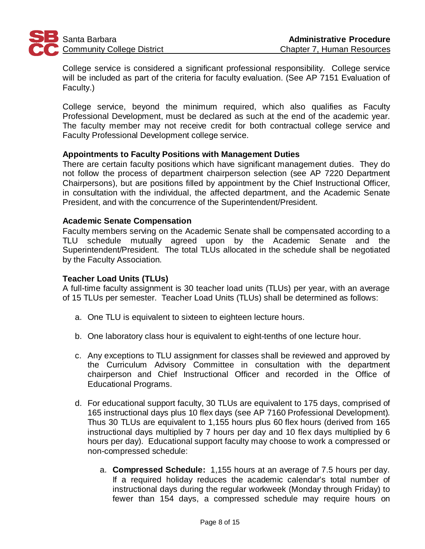

College service is considered a significant professional responsibility. College service will be included as part of the criteria for faculty evaluation. (See AP 7151 Evaluation of Faculty.)

College service, beyond the minimum required, which also qualifies as Faculty Professional Development, must be declared as such at the end of the academic year. The faculty member may not receive credit for both contractual college service and Faculty Professional Development college service.

### **Appointments to Faculty Positions with Management Duties**

There are certain faculty positions which have significant management duties. They do not follow the process of department chairperson selection (see AP 7220 Department Chairpersons), but are positions filled by appointment by the Chief Instructional Officer, in consultation with the individual, the affected department, and the Academic Senate President, and with the concurrence of the Superintendent/President.

### **Academic Senate Compensation**

Faculty members serving on the Academic Senate shall be compensated according to a TLU schedule mutually agreed upon by the Academic Senate and the Superintendent/President. The total TLUs allocated in the schedule shall be negotiated by the Faculty Association.

### **Teacher Load Units (TLUs)**

A full-time faculty assignment is 30 teacher load units (TLUs) per year, with an average of 15 TLUs per semester. Teacher Load Units (TLUs) shall be determined as follows:

- a. One TLU is equivalent to sixteen to eighteen lecture hours.
- b. One laboratory class hour is equivalent to eight-tenths of one lecture hour.
- c. Any exceptions to TLU assignment for classes shall be reviewed and approved by the Curriculum Advisory Committee in consultation with the department chairperson and Chief Instructional Officer and recorded in the Office of Educational Programs.
- d. For educational support faculty, 30 TLUs are equivalent to 175 days, comprised of 165 instructional days plus 10 flex days (see AP 7160 Professional Development). Thus 30 TLUs are equivalent to 1,155 hours plus 60 flex hours (derived from 165 instructional days multiplied by 7 hours per day and 10 flex days multiplied by 6 hours per day). Educational support faculty may choose to work a compressed or non-compressed schedule:
	- a. **Compressed Schedule:** 1,155 hours at an average of 7.5 hours per day. If a required holiday reduces the academic calendar's total number of instructional days during the regular workweek (Monday through Friday) to fewer than 154 days, a compressed schedule may require hours on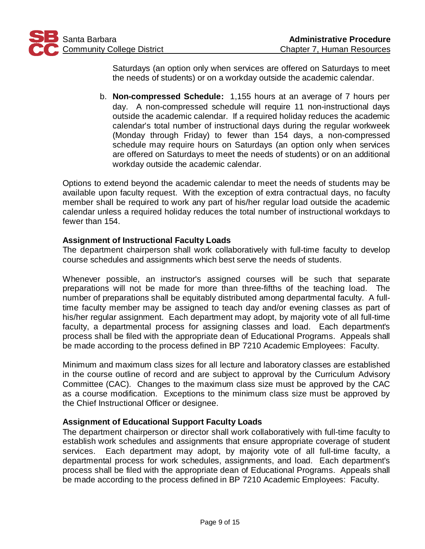

Saturdays (an option only when services are offered on Saturdays to meet the needs of students) or on a workday outside the academic calendar.

b. **Non-compressed Schedule:** 1,155 hours at an average of 7 hours per day. A non-compressed schedule will require 11 non-instructional days outside the academic calendar. If a required holiday reduces the academic calendar's total number of instructional days during the regular workweek (Monday through Friday) to fewer than 154 days, a non-compressed schedule may require hours on Saturdays (an option only when services are offered on Saturdays to meet the needs of students) or on an additional workday outside the academic calendar.

Options to extend beyond the academic calendar to meet the needs of students may be available upon faculty request. With the exception of extra contractual days, no faculty member shall be required to work any part of his/her regular load outside the academic calendar unless a required holiday reduces the total number of instructional workdays to fewer than 154.

### **Assignment of Instructional Faculty Loads**

The department chairperson shall work collaboratively with full-time faculty to develop course schedules and assignments which best serve the needs of students.

Whenever possible, an instructor's assigned courses will be such that separate preparations will not be made for more than three-fifths of the teaching load. The number of preparations shall be equitably distributed among departmental faculty. A fulltime faculty member may be assigned to teach day and/or evening classes as part of his/her regular assignment. Each department may adopt, by majority vote of all full-time faculty, a departmental process for assigning classes and load. Each department's process shall be filed with the appropriate dean of Educational Programs. Appeals shall be made according to the process defined in BP 7210 Academic Employees: Faculty.

Minimum and maximum class sizes for all lecture and laboratory classes are established in the course outline of record and are subject to approval by the Curriculum Advisory Committee (CAC). Changes to the maximum class size must be approved by the CAC as a course modification. Exceptions to the minimum class size must be approved by the Chief Instructional Officer or designee.

# **Assignment of Educational Support Faculty Loads**

The department chairperson or director shall work collaboratively with full-time faculty to establish work schedules and assignments that ensure appropriate coverage of student services. Each department may adopt, by majority vote of all full-time faculty, a departmental process for work schedules, assignments, and load. Each department's process shall be filed with the appropriate dean of Educational Programs. Appeals shall be made according to the process defined in BP 7210 Academic Employees: Faculty.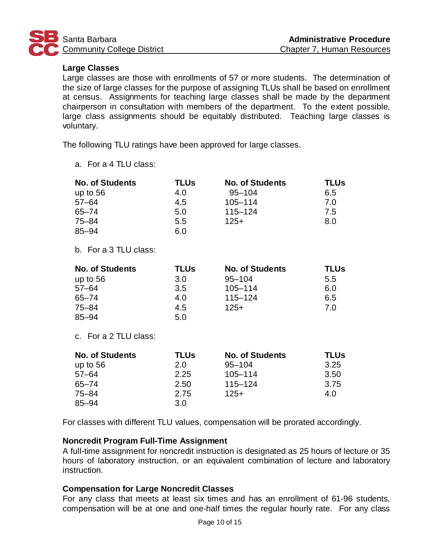

# **Large Classes**

Large classes are those with enrollments of 57 or more students. The determination of the size of large classes for the purpose of assigning TLUs shall be based on enrollment at census. Assignments for teaching large classes shall be made by the department chairperson in consultation with members of the department. To the extent possible, large class assignments should be equitably distributed. Teaching large classes is voluntary.

The following TLU ratings have been approved for large classes.

a. For a 4 TLU class:

| <b>No. of Students</b> | <b>TLUs</b> | <b>No. of Students</b> | <b>TLUs</b> |
|------------------------|-------------|------------------------|-------------|
| up to $56$             | 4.0         | $95 - 104$             | 6.5         |
| $57 - 64$              | 4.5         | $105 - 114$            | 7.0         |
| 65-74                  | 5.0         | $115 - 124$            | 7.5         |
| 75–84                  | 5.5         | $125+$                 | 8.0         |
| 85–94                  | 6.0         |                        |             |

b. For a 3 TLU class:

| <b>No. of Students</b> | <b>TLUs</b> | <b>No. of Students</b> | TLUs |
|------------------------|-------------|------------------------|------|
| up to $56$             | 3.0         | $95 - 104$             | 5.5  |
| $57 - 64$              | 3.5         | $105 - 114$            | 6.0  |
| 65-74                  | 4.0         | $115 - 124$            | 6.5  |
| 75–84                  | 4.5         | $125+$                 | 7.0  |
| $85 - 94$              | 5.0         |                        |      |

c. For a 2 TLU class:

| <b>No. of Students</b> | <b>TLUs</b> | <b>No. of Students</b> | <b>TLUs</b> |
|------------------------|-------------|------------------------|-------------|
| up to $56$             | 2.0         | $95 - 104$             | 3.25        |
| $57 - 64$              | 2.25        | $105 - 114$            | 3.50        |
| $65 - 74$              | 2.50        | $115 - 124$            | 3.75        |
| $75 - 84$              | 2.75        | $125+$                 | 4.0         |
| $85 - 94$              | 3.0         |                        |             |

For classes with different TLU values, compensation will be prorated accordingly.

# **Noncredit Program Full-Time Assignment**

A full-time assignment for noncredit instruction is designated as 25 hours of lecture or 35 hours of laboratory instruction, or an equivalent combination of lecture and laboratory instruction.

# **Compensation for Large Noncredit Classes**

For any class that meets at least six times and has an enrollment of 61-96 students, compensation will be at one and one-half times the regular hourly rate. For any class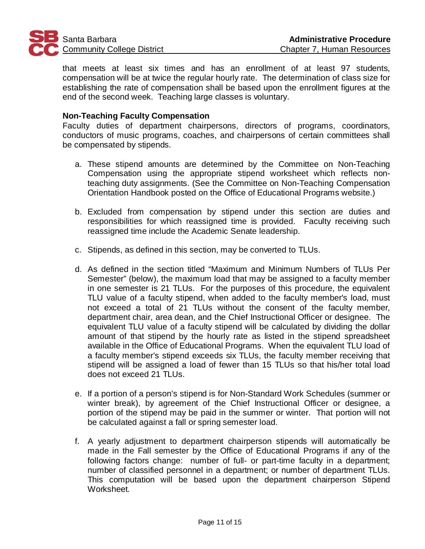

that meets at least six times and has an enrollment of at least 97 students, compensation will be at twice the regular hourly rate. The determination of class size for establishing the rate of compensation shall be based upon the enrollment figures at the end of the second week. Teaching large classes is voluntary.

### **Non-Teaching Faculty Compensation**

Faculty duties of department chairpersons, directors of programs, coordinators, conductors of music programs, coaches, and chairpersons of certain committees shall be compensated by stipends.

- a. These stipend amounts are determined by the Committee on Non-Teaching Compensation using the appropriate stipend worksheet which reflects nonteaching duty assignments. (See the Committee on Non-Teaching Compensation Orientation Handbook posted on the Office of Educational Programs website.)
- b. Excluded from compensation by stipend under this section are duties and responsibilities for which reassigned time is provided. Faculty receiving such reassigned time include the Academic Senate leadership.
- c. Stipends, as defined in this section, may be converted to TLUs.
- d. As defined in the section titled "Maximum and Minimum Numbers of TLUs Per Semester" (below), the maximum load that may be assigned to a faculty member in one semester is 21 TLUs. For the purposes of this procedure, the equivalent TLU value of a faculty stipend, when added to the faculty member's load, must not exceed a total of 21 TLUs without the consent of the faculty member, department chair, area dean, and the Chief Instructional Officer or designee. The equivalent TLU value of a faculty stipend will be calculated by dividing the dollar amount of that stipend by the hourly rate as listed in the stipend spreadsheet available in the Office of Educational Programs. When the equivalent TLU load of a faculty member's stipend exceeds six TLUs, the faculty member receiving that stipend will be assigned a load of fewer than 15 TLUs so that his/her total load does not exceed 21 TLUs.
- e. If a portion of a person's stipend is for Non-Standard Work Schedules (summer or winter break), by agreement of the Chief Instructional Officer or designee, a portion of the stipend may be paid in the summer or winter. That portion will not be calculated against a fall or spring semester load.
- f. A yearly adjustment to department chairperson stipends will automatically be made in the Fall semester by the Office of Educational Programs if any of the following factors change: number of full- or part-time faculty in a department; number of classified personnel in a department; or number of department TLUs. This computation will be based upon the department chairperson Stipend Worksheet.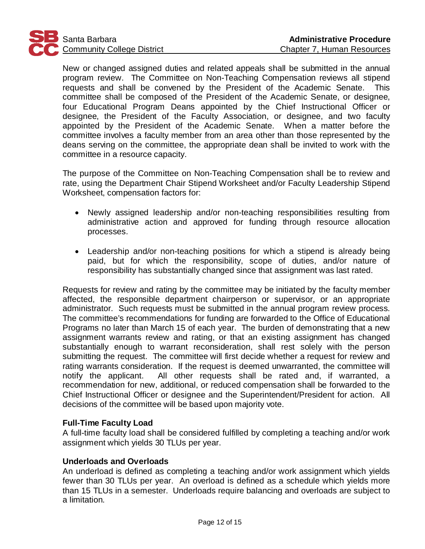

New or changed assigned duties and related appeals shall be submitted in the annual program review. The Committee on Non-Teaching Compensation reviews all stipend requests and shall be convened by the President of the Academic Senate. This committee shall be composed of the President of the Academic Senate, or designee, four Educational Program Deans appointed by the Chief Instructional Officer or designee, the President of the Faculty Association, or designee, and two faculty appointed by the President of the Academic Senate. When a matter before the committee involves a faculty member from an area other than those represented by the deans serving on the committee, the appropriate dean shall be invited to work with the committee in a resource capacity.

The purpose of the Committee on Non-Teaching Compensation shall be to review and rate, using the Department Chair Stipend Worksheet and/or Faculty Leadership Stipend Worksheet, compensation factors for:

- Newly assigned leadership and/or non-teaching responsibilities resulting from administrative action and approved for funding through resource allocation processes.
- Leadership and/or non-teaching positions for which a stipend is already being paid, but for which the responsibility, scope of duties, and/or nature of responsibility has substantially changed since that assignment was last rated.

Requests for review and rating by the committee may be initiated by the faculty member affected, the responsible department chairperson or supervisor, or an appropriate administrator. Such requests must be submitted in the annual program review process. The committee's recommendations for funding are forwarded to the Office of Educational Programs no later than March 15 of each year. The burden of demonstrating that a new assignment warrants review and rating, or that an existing assignment has changed substantially enough to warrant reconsideration, shall rest solely with the person submitting the request. The committee will first decide whether a request for review and rating warrants consideration. If the request is deemed unwarranted, the committee will notify the applicant. All other requests shall be rated and, if warranted, a recommendation for new, additional, or reduced compensation shall be forwarded to the Chief Instructional Officer or designee and the Superintendent/President for action. All decisions of the committee will be based upon majority vote.

### **Full-Time Faculty Load**

A full-time faculty load shall be considered fulfilled by completing a teaching and/or work assignment which yields 30 TLUs per year.

### **Underloads and Overloads**

An underload is defined as completing a teaching and/or work assignment which yields fewer than 30 TLUs per year. An overload is defined as a schedule which yields more than 15 TLUs in a semester. Underloads require balancing and overloads are subject to a limitation.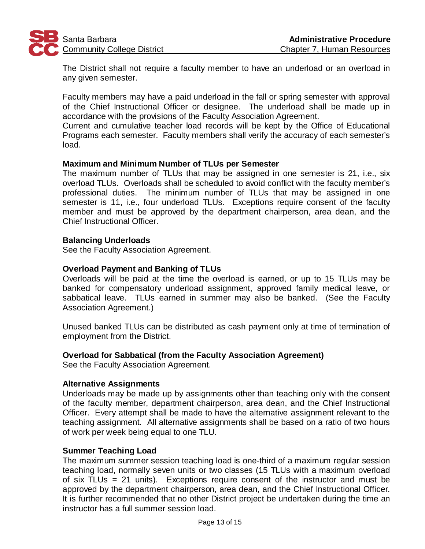

The District shall not require a faculty member to have an underload or an overload in any given semester.

Faculty members may have a paid underload in the fall or spring semester with approval of the Chief Instructional Officer or designee. The underload shall be made up in accordance with the provisions of the Faculty Association Agreement.

Current and cumulative teacher load records will be kept by the Office of Educational Programs each semester. Faculty members shall verify the accuracy of each semester's load.

# **Maximum and Minimum Number of TLUs per Semester**

The maximum number of TLUs that may be assigned in one semester is 21, i.e., six overload TLUs. Overloads shall be scheduled to avoid conflict with the faculty member's professional duties. The minimum number of TLUs that may be assigned in one semester is 11, i.e., four underload TLUs. Exceptions require consent of the faculty member and must be approved by the department chairperson, area dean, and the Chief Instructional Officer.

### **Balancing Underloads**

See the Faculty Association Agreement.

# **Overload Payment and Banking of TLUs**

Overloads will be paid at the time the overload is earned, or up to 15 TLUs may be banked for compensatory underload assignment, approved family medical leave, or sabbatical leave. TLUs earned in summer may also be banked. (See the Faculty Association Agreement.)

Unused banked TLUs can be distributed as cash payment only at time of termination of employment from the District.

### **Overload for Sabbatical (from the Faculty Association Agreement)**

See the Faculty Association Agreement.

### **Alternative Assignments**

Underloads may be made up by assignments other than teaching only with the consent of the faculty member, department chairperson, area dean, and the Chief Instructional Officer. Every attempt shall be made to have the alternative assignment relevant to the teaching assignment. All alternative assignments shall be based on a ratio of two hours of work per week being equal to one TLU.

# **Summer Teaching Load**

The maximum summer session teaching load is one-third of a maximum regular session teaching load, normally seven units or two classes (15 TLUs with a maximum overload of six TLUs = 21 units). Exceptions require consent of the instructor and must be approved by the department chairperson, area dean, and the Chief Instructional Officer. It is further recommended that no other District project be undertaken during the time an instructor has a full summer session load.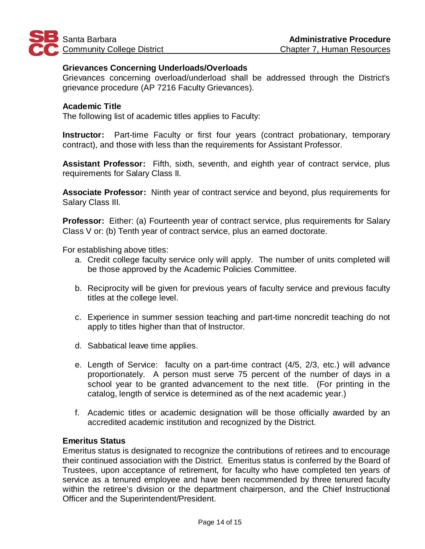

### **Grievances Concerning Underloads/Overloads**

Grievances concerning overload/underload shall be addressed through the District's grievance procedure (AP 7216 Faculty Grievances).

### **Academic Title**

The following list of academic titles applies to Faculty:

**Instructor:** Part-time Faculty or first four years (contract probationary, temporary contract), and those with less than the requirements for Assistant Professor.

**Assistant Professor:** Fifth, sixth, seventh, and eighth year of contract service, plus requirements for Salary Class II.

**Associate Professor:** Ninth year of contract service and beyond, plus requirements for Salary Class III.

**Professor:** Either: (a) Fourteenth year of contract service, plus requirements for Salary Class V or: (b) Tenth year of contract service, plus an earned doctorate.

For establishing above titles:

- a. Credit college faculty service only will apply. The number of units completed will be those approved by the Academic Policies Committee.
- b. Reciprocity will be given for previous years of faculty service and previous faculty titles at the college level.
- c. Experience in summer session teaching and part-time noncredit teaching do not apply to titles higher than that of Instructor.
- d. Sabbatical leave time applies.
- e. Length of Service: faculty on a part-time contract (4/5, 2/3, etc.) will advance proportionately. A person must serve 75 percent of the number of days in a school year to be granted advancement to the next title. (For printing in the catalog, length of service is determined as of the next academic year.)
- f. Academic titles or academic designation will be those officially awarded by an accredited academic institution and recognized by the District.

### **Emeritus Status**

Emeritus status is designated to recognize the contributions of retirees and to encourage their continued association with the District. Emeritus status is conferred by the Board of Trustees, upon acceptance of retirement, for faculty who have completed ten years of service as a tenured employee and have been recommended by three tenured faculty within the retiree's division or the department chairperson, and the Chief Instructional Officer and the Superintendent/President.